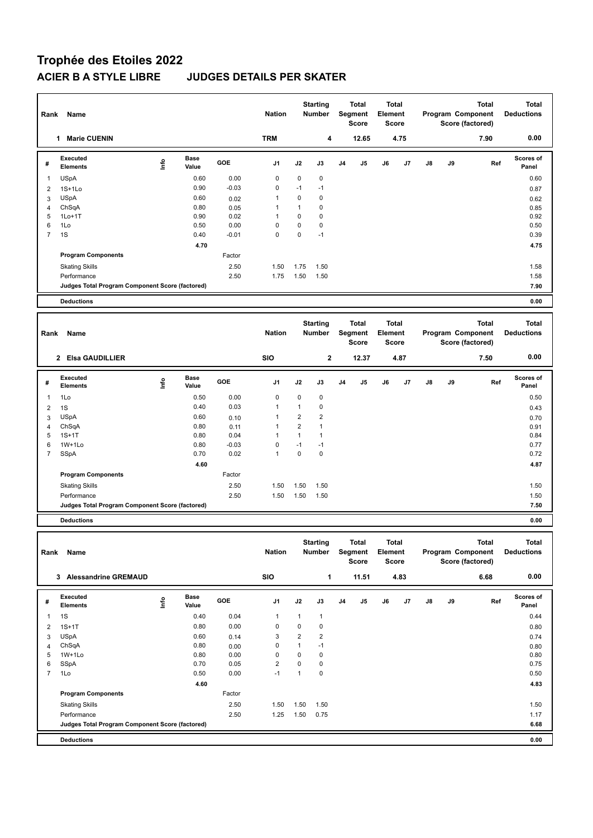## **Trophée des Etoiles 2022 ACIER B A STYLE LIBRE JUDGES DETAILS PER SKATER**

| Rank           | Name                                            |                          |                      |         | <b>Nation</b>  |                | <b>Starting</b><br><b>Number</b> |                | Total<br>Segment<br><b>Score</b> | Element | <b>Total</b><br>Score |    |    | <b>Total</b><br>Program Component<br>Score (factored) | <b>Total</b><br><b>Deductions</b> |
|----------------|-------------------------------------------------|--------------------------|----------------------|---------|----------------|----------------|----------------------------------|----------------|----------------------------------|---------|-----------------------|----|----|-------------------------------------------------------|-----------------------------------|
|                | 1 Marie CUENIN                                  |                          |                      |         | <b>TRM</b>     |                | $\overline{\mathbf{4}}$          |                | 12.65                            |         | 4.75                  |    |    | 7.90                                                  | 0.00                              |
| #              | Executed<br><b>Elements</b>                     | lnfo                     | <b>Base</b><br>Value | GOE     | J1             | J2             | J3                               | J <sub>4</sub> | J5                               | J6      | J7                    | J8 | J9 | Ref                                                   | <b>Scores of</b><br>Panel         |
| $\mathbf{1}$   | USpA                                            |                          | 0.60                 | 0.00    | 0              | $\mathbf 0$    | 0                                |                |                                  |         |                       |    |    |                                                       | 0.60                              |
| 2              | $1S+1Lo$                                        |                          | 0.90                 | $-0.03$ | 0              | $-1$           | $-1$                             |                |                                  |         |                       |    |    |                                                       | 0.87                              |
| 3              | <b>USpA</b>                                     |                          | 0.60                 | 0.02    | $\mathbf{1}$   | $\mathbf 0$    | 0                                |                |                                  |         |                       |    |    |                                                       | 0.62                              |
| 4              | ChSqA                                           |                          | 0.80                 | 0.05    | 1              | $\mathbf{1}$   | 0                                |                |                                  |         |                       |    |    |                                                       | 0.85                              |
| 5              | $1Lo+1T$                                        |                          | 0.90                 | 0.02    | 1              | $\mathbf 0$    | 0                                |                |                                  |         |                       |    |    |                                                       | 0.92                              |
| 6              | 1Lo                                             |                          | 0.50                 | 0.00    | $\mathbf 0$    | $\mathbf 0$    | 0                                |                |                                  |         |                       |    |    |                                                       | 0.50                              |
| $\overline{7}$ | 1S                                              |                          | 0.40                 | $-0.01$ | $\mathbf 0$    | $\mathbf 0$    | $-1$                             |                |                                  |         |                       |    |    |                                                       | 0.39                              |
|                |                                                 |                          | 4.70                 |         |                |                |                                  |                |                                  |         |                       |    |    |                                                       | 4.75                              |
|                | <b>Program Components</b>                       |                          |                      | Factor  |                |                |                                  |                |                                  |         |                       |    |    |                                                       |                                   |
|                | <b>Skating Skills</b>                           |                          |                      | 2.50    | 1.50           | 1.75           | 1.50                             |                |                                  |         |                       |    |    |                                                       | 1.58                              |
|                | Performance                                     |                          |                      | 2.50    | 1.75           | 1.50           | 1.50                             |                |                                  |         |                       |    |    |                                                       | 1.58                              |
|                | Judges Total Program Component Score (factored) |                          |                      |         |                |                |                                  |                |                                  |         |                       |    |    |                                                       | 7.90                              |
|                | <b>Deductions</b>                               |                          |                      |         |                |                |                                  |                |                                  |         |                       |    |    |                                                       | 0.00                              |
|                |                                                 |                          |                      |         |                |                |                                  |                |                                  |         |                       |    |    |                                                       |                                   |
|                |                                                 |                          |                      |         |                |                | <b>Starting</b>                  |                | Total                            |         | <b>Total</b>          |    |    | <b>Total</b>                                          | <b>Total</b>                      |
| Rank           | Name                                            |                          |                      |         | <b>Nation</b>  |                | <b>Number</b>                    |                | Segment                          | Element |                       |    |    | Program Component                                     | <b>Deductions</b>                 |
|                |                                                 |                          |                      |         |                |                |                                  |                | <b>Score</b>                     |         | <b>Score</b>          |    |    | Score (factored)                                      |                                   |
|                | 2 Elsa GAUDILLIER                               |                          |                      |         | <b>SIO</b>     |                | $\overline{\mathbf{2}}$          |                | 12.37                            |         | 4.87                  |    |    | 7.50                                                  | 0.00                              |
|                | Executed                                        |                          | Base                 |         |                |                |                                  |                |                                  |         |                       |    |    |                                                       | Scores of                         |
| #              | <b>Elements</b>                                 | ١m                       | Value                | GOE     | J1             | J2             | J3                               | J <sub>4</sub> | J5                               | J6      | J7                    | J8 | J9 | Ref                                                   | Panel                             |
| 1              | 1Lo                                             |                          | 0.50                 | 0.00    | 0              | $\mathbf 0$    | 0                                |                |                                  |         |                       |    |    |                                                       | 0.50                              |
| $\overline{2}$ | 1S                                              |                          | 0.40                 | 0.03    | 1              | $\mathbf{1}$   | 0                                |                |                                  |         |                       |    |    |                                                       | 0.43                              |
| 3              | <b>USpA</b>                                     |                          | 0.60                 | 0.10    | 1              | $\overline{2}$ | $\overline{\mathbf{c}}$          |                |                                  |         |                       |    |    |                                                       | 0.70                              |
| $\overline{4}$ | ChSqA                                           |                          | 0.80                 | 0.11    | 1              | $\overline{2}$ | $\mathbf{1}$                     |                |                                  |         |                       |    |    |                                                       | 0.91                              |
| 5              | $1S+1T$                                         |                          | 0.80                 | 0.04    | $\mathbf{1}$   | $\mathbf{1}$   | $\mathbf{1}$                     |                |                                  |         |                       |    |    |                                                       | 0.84                              |
| 6              | $1W+1Lo$                                        |                          | 0.80                 | $-0.03$ | 0              | $-1$           | $-1$                             |                |                                  |         |                       |    |    |                                                       | 0.77                              |
| $\overline{7}$ | SSpA                                            |                          | 0.70                 | 0.02    | $\mathbf{1}$   | $\mathbf 0$    | $\mathbf 0$                      |                |                                  |         |                       |    |    |                                                       | 0.72                              |
|                |                                                 |                          | 4.60                 |         |                |                |                                  |                |                                  |         |                       |    |    |                                                       | 4.87                              |
|                | <b>Program Components</b>                       |                          |                      | Factor  |                |                |                                  |                |                                  |         |                       |    |    |                                                       |                                   |
|                | <b>Skating Skills</b>                           |                          |                      | 2.50    | 1.50           | 1.50           | 1.50                             |                |                                  |         |                       |    |    |                                                       | 1.50                              |
|                | Performance                                     |                          |                      | 2.50    | 1.50           | 1.50           | 1.50                             |                |                                  |         |                       |    |    |                                                       | 1.50                              |
|                | Judges Total Program Component Score (factored) |                          |                      |         |                |                |                                  |                |                                  |         |                       |    |    |                                                       | 7.50                              |
|                | <b>Deductions</b>                               |                          |                      |         |                |                |                                  |                |                                  |         |                       |    |    |                                                       | 0.00                              |
|                |                                                 |                          |                      |         |                |                |                                  |                |                                  |         |                       |    |    |                                                       |                                   |
| Rank           | Name                                            |                          |                      |         | <b>Nation</b>  |                | <b>Starting</b><br><b>Number</b> |                | Total<br>Segment<br>Score        | Element | Total<br><b>Score</b> |    |    | <b>Total</b><br>Program Component<br>Score (factored) | Total<br><b>Deductions</b>        |
|                | 3 Alessandrine GREMAUD                          |                          |                      |         | SIO            |                | $\mathbf{1}$                     |                | 11.51                            |         | 4.83                  |    |    | 6.68                                                  | 0.00                              |
|                | Executed                                        |                          | Base                 |         |                |                |                                  |                |                                  |         |                       |    |    |                                                       | Scores of                         |
| #              | Elements                                        | $\mathop{\mathsf{Info}}$ | Value                | GOE     | J1             | J2             | J3                               | J4             | J5                               | J6      | J7                    | J8 | J9 | Ref                                                   | Panel                             |
| $\mathbf{1}$   | 1S                                              |                          | 0.40                 | 0.04    | $\mathbf{1}$   | $\mathbf{1}$   | $\mathbf{1}$                     |                |                                  |         |                       |    |    |                                                       | 0.44                              |
| $\overline{2}$ | $1S+1T$                                         |                          | 0.80                 | 0.00    | 0              | $\mathbf 0$    | $\pmb{0}$                        |                |                                  |         |                       |    |    |                                                       | 0.80                              |
| 3              | USpA                                            |                          | 0.60                 | 0.14    | 3              | $\sqrt{2}$     | $\overline{\mathbf{c}}$          |                |                                  |         |                       |    |    |                                                       | 0.74                              |
| $\overline{4}$ | ChSqA                                           |                          | 0.80                 | 0.00    | 0              | $\mathbf{1}$   | $-1$                             |                |                                  |         |                       |    |    |                                                       | 0.80                              |
| 5              | 1W+1Lo                                          |                          | 0.80                 | 0.00    | $\pmb{0}$      | $\mathbf 0$    | 0                                |                |                                  |         |                       |    |    |                                                       | 0.80                              |
| 6              | SSpA                                            |                          | 0.70                 | 0.05    | $\overline{2}$ | $\pmb{0}$      | $\pmb{0}$                        |                |                                  |         |                       |    |    |                                                       | 0.75                              |
| $\overline{7}$ | 1Lo                                             |                          | 0.50                 | 0.00    | $-1$           | $\mathbf{1}$   | $\pmb{0}$                        |                |                                  |         |                       |    |    |                                                       | 0.50                              |
|                |                                                 |                          | 4.60                 |         |                |                |                                  |                |                                  |         |                       |    |    |                                                       | 4.83                              |
|                | <b>Program Components</b>                       |                          |                      | Factor  |                |                |                                  |                |                                  |         |                       |    |    |                                                       |                                   |
|                | <b>Skating Skills</b>                           |                          |                      | 2.50    |                |                | 1.50  1.50  1.50                 |                |                                  |         |                       |    |    |                                                       | 1.50                              |

Performance 2.50 1.25 1.50 0.75 1.17